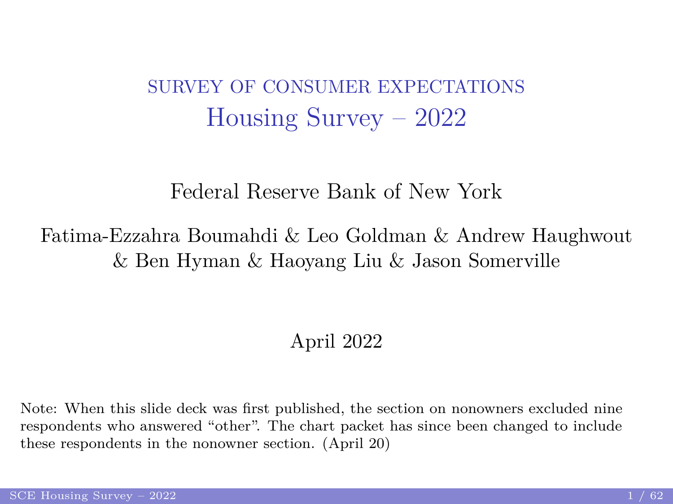#### <span id="page-0-1"></span><span id="page-0-0"></span>SURVEY OF CONSUMER EXPECTATIONS Housing Survey – 2022

#### Federal Reserve Bank of New York

#### Fatima-Ezzahra Boumahdi & Leo Goldman & Andrew Haughwout & Ben Hyman & Haoyang Liu & Jason Somerville

#### April 2022

Note: When this slide deck was first published, the section on nonowners excluded nine respondents who answered "other". The chart packet has since been changed to include these respondents in the nonowner section. (April 20)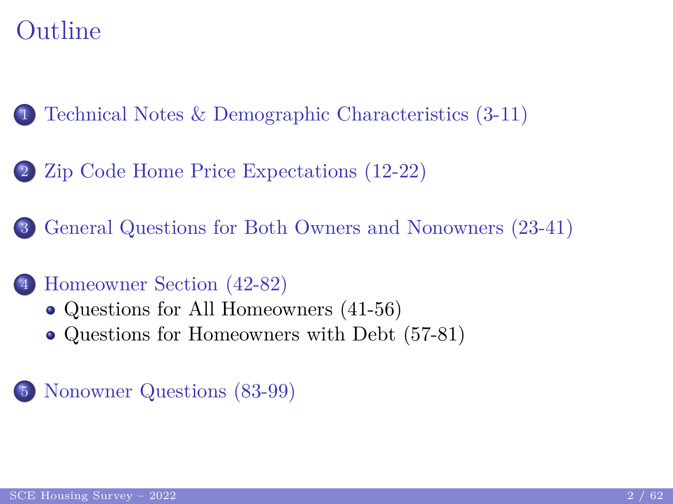## Outline

1 [Technical Notes & Demographic Characteristics \(3-11\)](#page-2-0)

2 [Zip Code Home Price Expectations \(12-22\)](#page-9-0)

3 [General Questions for Both Owners and Nonowners \(23-41\)](#page-17-0)

#### 4 [Homeowner Section \(42-82\)](#page-28-0)

- [Questions for All Homeowners \(41-56\)](#page-29-0)
- [Questions for Homeowners with Debt \(57-81\)](#page-40-0)

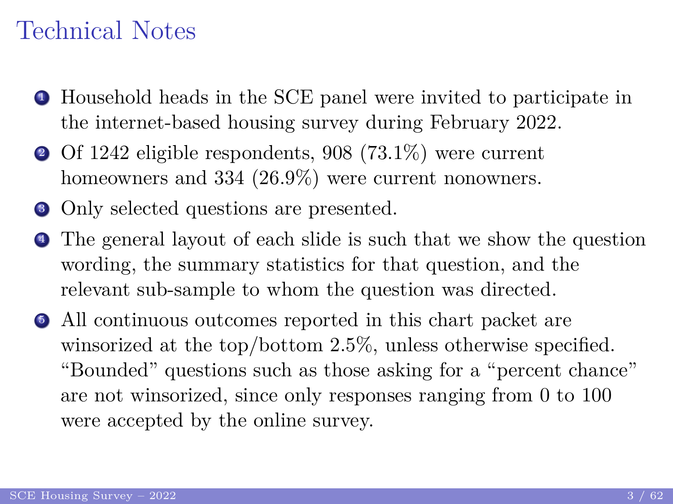#### <span id="page-2-0"></span>Technical Notes

- <sup>1</sup> Household heads in the SCE panel were invited to participate in the internet-based housing survey during February 2022.
- <sup>2</sup> Of 1242 eligible respondents, 908 (73.1%) were current homeowners and 334 (26.9%) were current nonowners.
- Only selected questions are presented.
- <sup>4</sup> The general layout of each slide is such that we show the question wording, the summary statistics for that question, and the relevant sub-sample to whom the question was directed.
- <sup>5</sup> All continuous outcomes reported in this chart packet are winsorized at the top/bottom 2.5%, unless otherwise specified. "Bounded" questions such as those asking for a "percent chance" are not winsorized, since only responses ranging from 0 to 100 were accepted by the online survey.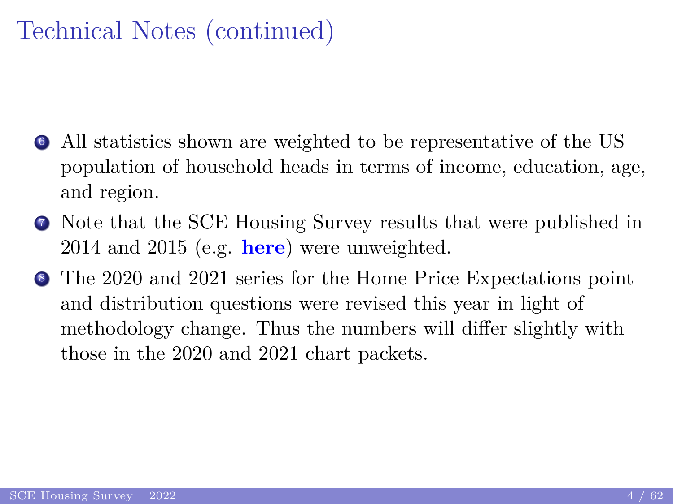# Technical Notes (continued)

- <sup>6</sup> All statistics shown are weighted to be representative of the US population of household heads in terms of income, education, age, and region.
- <sup>7</sup> Note that the SCE Housing Survey results that were published in 2014 and 2015 (e.g. **[here](https://www.newyorkfed.org/medialibrary/Interactives/sce/sce/downloads/data/2015-SCE-Housing-Survey.pdf)**) were unweighted.
- <sup>8</sup> The 2020 and 2021 series for the Home Price Expectations point and distribution questions were revised this year in light of methodology change. Thus the numbers will differ slightly with those in the 2020 and 2021 chart packets.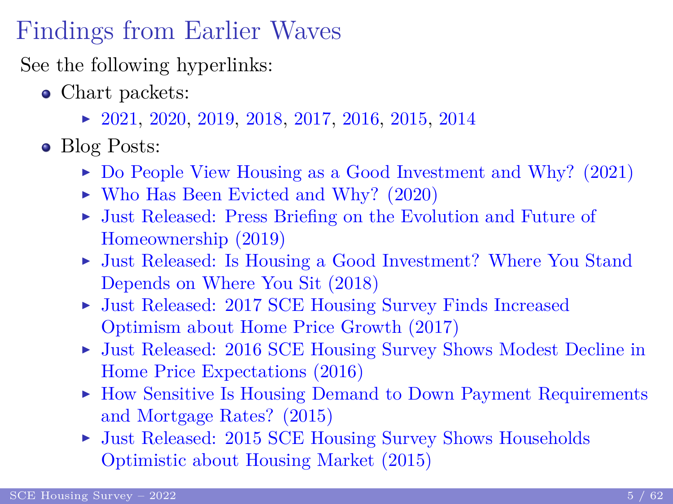## Findings from Earlier Waves

See the following hyperlinks:

- Chart packets:
	- $\blacktriangleright$  [2021,](https://www.newyorkfed.org/medialibrary/interactives/sce/sce/downloads/data/frbny_sce_housing_chartpacket2021.pdf) [2020,](https://www.newyorkfed.org/medialibrary/interactives/sce/sce/downloads/data/frbny_sce_housing_chartpacket2020.pdf) [2019,](https://www.newyorkfed.org/medialibrary/interactives/sce/sce/downloads/data/frbny_sce_housing_chartpacket2019.pdf) [2018,](https://www.newyorkfed.org/medialibrary/interactives/sce/sce/downloads/data/frbny_sce_housing_chartpacket2018.pdf) [2017,](https://www.newyorkfed.org/medialibrary/interactives/sce/sce/downloads/data/FRBNY_SCE_Housing_chartpacket2017.pdf) [2016,](https://www.newyorkfed.org/medialibrary/interactives/sce/sce/downloads/data/FRBNY_SCE_Housing_chartpacket2016.pdf) [2015,](https://www.newyorkfed.org/medialibrary/interactives/sce/sce/downloads/data/SCE-housing-chart-packet-2015.pdf) [2014](https://www.newyorkfed.org/medialibrary/interactives/sce/sce/downloads/data/SCE-housing-chart-packet-2014.pdf)
- Blog Posts:
	- $\triangleright$  [Do People View Housing as a Good Investment and Why? \(2021\)](https://libertystreeteconomics.newyorkfed.org/2021/04/do-people-view-housing-as-a-good-investment-and-why/?msclkid=88832353ba6c11ec99060eb5edb62a56)
	- $\blacktriangleright$  [Who Has Been Evicted and Why? \(2020\)](https://libertystreeteconomics.newyorkfed.org/2020/07/who-has-been-evicted-and-why/)
	- I [Just Released: Press Briefing on the Evolution and Future of](https://libertystreeteconomics.newyorkfed.org/2019/05/just-released-press-briefing-on-the-evolution-and-future-of-homeownership.html) [Homeownership \(2019\)](https://libertystreeteconomics.newyorkfed.org/2019/05/just-released-press-briefing-on-the-evolution-and-future-of-homeownership.html)
	- ► [Just Released: Is Housing a Good Investment? Where You Stand](https://libertystreeteconomics.newyorkfed.org/2018/04/just-released-is-housing-a-good-investment-where-you-stand-depends-on-where-you-sit.html) [Depends on Where You Sit \(2018\)](https://libertystreeteconomics.newyorkfed.org/2018/04/just-released-is-housing-a-good-investment-where-you-stand-depends-on-where-you-sit.html)
	- ▶ [Just Released: 2017 SCE Housing Survey Finds Increased](http://libertystreeteconomics.newyorkfed.org/2017/05/just-released-2017-sce-housing-survey-finds-increased-optimism-about-home-price-growth.html) [Optimism about Home Price Growth \(2017\)](http://libertystreeteconomics.newyorkfed.org/2017/05/just-released-2017-sce-housing-survey-finds-increased-optimism-about-home-price-growth.html)
	- I [Just Released: 2016 SCE Housing Survey Shows Modest Decline in](http://libertystreeteconomics.newyorkfed.org/2016/06/just-released-2016-sce-housing-survey-shows-modest-decline-in-home-price-expectations.html) [Home Price Expectations \(2016\)](http://libertystreeteconomics.newyorkfed.org/2016/06/just-released-2016-sce-housing-survey-shows-modest-decline-in-home-price-expectations.html)
	- $\triangleright$  [How Sensitive Is Housing Demand to Down Payment Requirements](http://libertystreeteconomics.newyorkfed.org/2015/07/how-sensitive-is-housing-demand-to-down-payment-requirements-and-mortgage-rates.html) [and Mortgage Rates? \(2015\)](http://libertystreeteconomics.newyorkfed.org/2015/07/how-sensitive-is-housing-demand-to-down-payment-requirements-and-mortgage-rates.html)
	- ► [Just Released: 2015 SCE Housing Survey Shows Households](http://libertystreeteconomics.newyorkfed.org/2015/05/just-released-2015-sce-housing-survey-shows-households-optimistic-about-housing-market.html) [Optimistic about Housing Market \(2015\)](http://libertystreeteconomics.newyorkfed.org/2015/05/just-released-2015-sce-housing-survey-shows-households-optimistic-about-housing-market.html)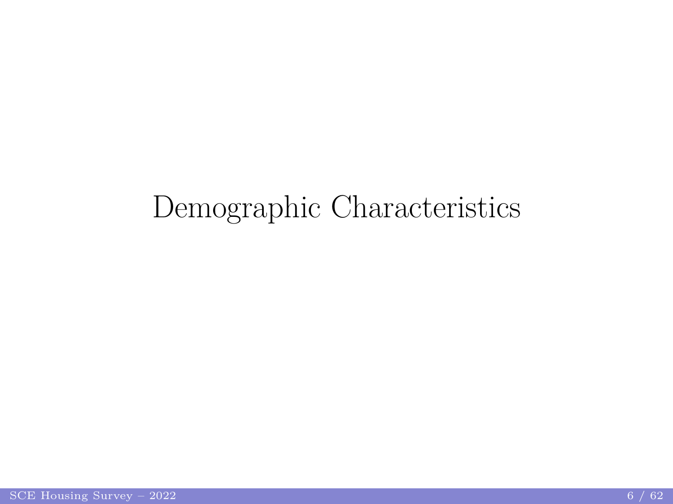# Demographic Characteristics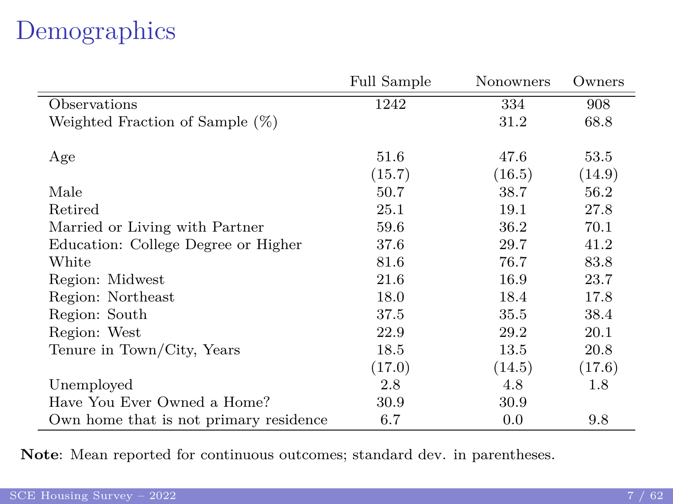# Demographics

|                                        | <b>Full Sample</b> | Nonowners | Owners |
|----------------------------------------|--------------------|-----------|--------|
| Observations                           | 1242               | 334       | 908    |
| Weighted Fraction of Sample (%)        |                    | 31.2      | 68.8   |
|                                        |                    |           |        |
| Age                                    | 51.6               | 47.6      | 53.5   |
|                                        | (15.7)             | (16.5)    | (14.9) |
| Male                                   | 50.7               | 38.7      | 56.2   |
| Retired                                | 25.1               | 19.1      | 27.8   |
| Married or Living with Partner         | 59.6               | 36.2      | 70.1   |
| Education: College Degree or Higher    | 37.6               | 29.7      | 41.2   |
| White                                  | 81.6               | 76.7      | 83.8   |
| Region: Midwest                        | 21.6               | 16.9      | 23.7   |
| Region: Northeast                      | 18.0               | 18.4      | 17.8   |
| Region: South                          | 37.5               | 35.5      | 38.4   |
| Region: West                           | 22.9               | 29.2      | 20.1   |
| Tenure in Town/City, Years             | 18.5               | 13.5      | 20.8   |
|                                        | (17.0)             | (14.5)    | (17.6) |
| Unemployed                             | 2.8                | 4.8       | 1.8    |
| Have You Ever Owned a Home?            | 30.9               | 30.9      |        |
| Own home that is not primary residence | 6.7                | 0.0       | 9.8    |

**Note**: Mean reported for continuous outcomes; standard dev. in parentheses.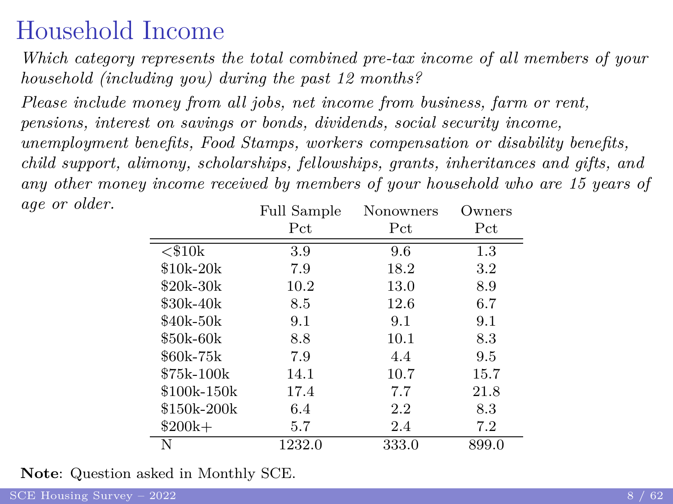### Household Income

<span id="page-7-0"></span>*Which category represents the total combined pre-tax income of all members of your household (including you) during the past 12 months?*

*Please include money from all jobs, net income from business, farm or rent, pensions, interest on savings or bonds, dividends, social security income, unemployment benefits, Food Stamps, workers compensation or disability benefits, child support, alimony, scholarships, fellowships, grants, inheritances and gifts, and any other money income received by members of your household who are 15 years of age or older.* Full Sample Nonowners Owners

|              | г un защріе | <b>INOTION HEIS</b> | UWHEIS  |
|--------------|-------------|---------------------|---------|
|              | Pct         | Pct                 | Pct.    |
| $<$ \$10 $k$ | 3.9         | 9.6                 | $1.3\,$ |
| $$10k-20k$   | 7.9         | 18.2                | 3.2     |
| \$20k-30k    | 10.2        | 13.0                | 8.9     |
| \$30k-40k    | 8.5         | 12.6                | 6.7     |
| \$40k-50k    | 9.1         | 9.1                 | 9.1     |
| \$50k-60k    | 8.8         | 10.1                | 8.3     |
| \$60k-75k    | 7.9         | 4.4                 | 9.5     |
| \$75k-100k   | 14.1        | 10.7                | 15.7    |
| \$100k-150k  | 17.4        | 7.7                 | 21.8    |
| \$150k-200k  | 6.4         | $2.2\,$             | 8.3     |
| $$200k+$     | 5.7         | 2.4                 | 7.2     |
|              | 1232.0      | 333.0               | 899.0   |

**Note**: Question asked in Monthly SCE.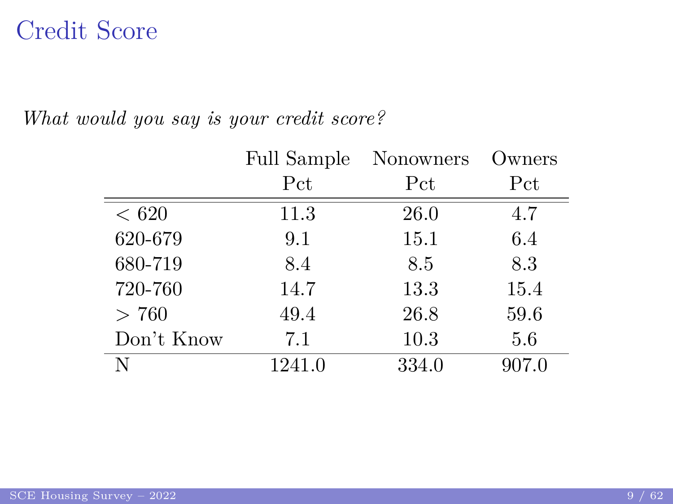#### Credit Score

|         |            | <b>Full Sample</b><br>Nonowners |       | Owners) |
|---------|------------|---------------------------------|-------|---------|
|         |            | Pct                             | Pct   | Pct     |
| < 620   |            | 11.3                            | 26.0  | 4.7     |
| 620-679 |            | 9.1                             | 15.1  | 6.4     |
| 680-719 |            | 8.4                             | 8.5   | 8.3     |
| 720-760 |            | 14.7                            | 13.3  | 15.4    |
| > 760   |            | 49.4                            | 26.8  | 59.6    |
|         | Don't Know | 7.1                             | 10.3  | 5.6     |
| Ν       |            | 1241.0                          | 334.0 | 907.0   |

*What would you say is your credit score?*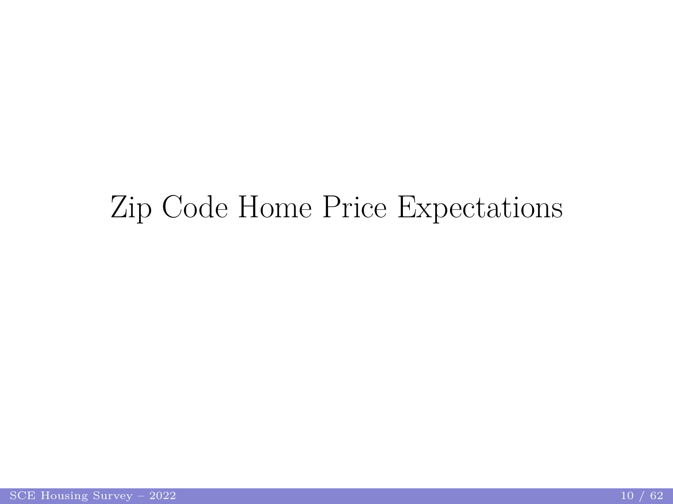# <span id="page-9-0"></span>Zip Code Home Price Expectations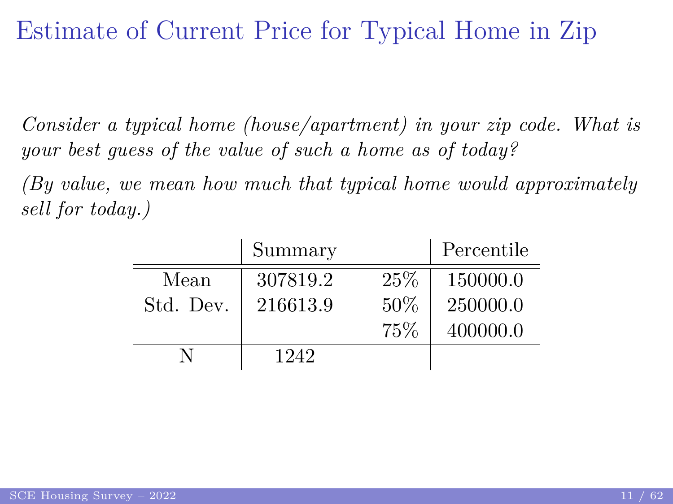#### <span id="page-10-0"></span>Estimate of Current Price for Typical Home in Zip

*Consider a typical home (house/apartment) in your zip code. What is your best guess of the value of such a home as of today?*

*(By value, we mean how much that typical home would approximately sell for today.)*

|           | Summary  |     | Percentile |
|-----------|----------|-----|------------|
| Mean      | 307819.2 | 25% | 150000.0   |
| Std. Dev. | 216613.9 | 50% | 250000.0   |
|           |          | 75% | 400000.0   |
|           | 1242     |     |            |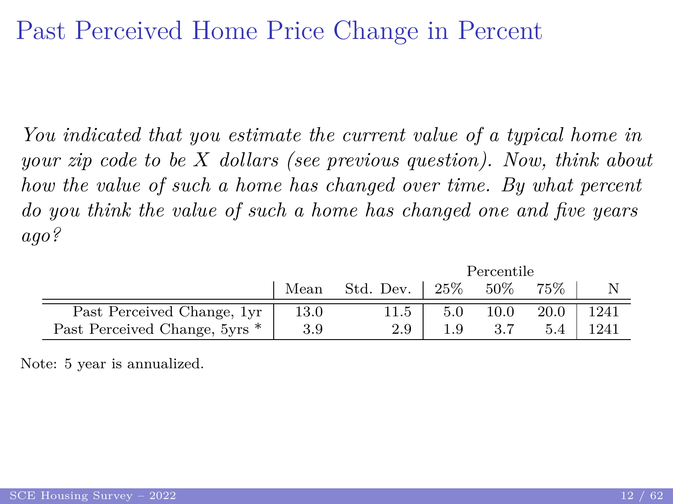#### Past Perceived Home Price Change in Percent

*You indicated that you estimate the current value of a typical home in your zip code to be X dollars [\(see previous question\)](#page-10-0). Now, think about how the value of such a home has changed over time. By what percent do you think the value of such a home has changed one and five years ago?*

|                               | Percentile |           |        |        |      |      |
|-------------------------------|------------|-----------|--------|--------|------|------|
|                               | Mean       | Std. Dev. | $25\%$ | $50\%$ | 75%  |      |
| Past Perceived Change, 1yr    | 13.0       | 11.5      | 5.0    | 10.0   | 20.0 | 1241 |
| Past Perceived Change, 5yrs * | 3.9        | 2.9       |        |        |      | 1241 |

Note: 5 year is annualized.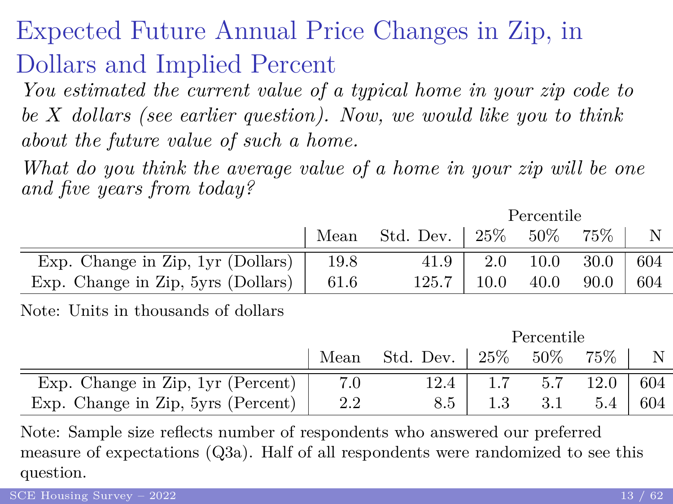# Expected Future Annual Price Changes in Zip, in Dollars and Implied Percent

*You estimated the current value of a typical home in your zip code to be X dollars [\(see earlier question\)](#page-10-0). Now, we would like you to think about the future value of such a home.*

*What do you think the average value of a home in your zip will be one and five years from today?*

Percentile

|                                                 |      | Mean Std. Dev. $\vert 25\% 50\% \vert$ |                 | 75%                            |       |
|-------------------------------------------------|------|----------------------------------------|-----------------|--------------------------------|-------|
| Exp. Change in Zip, $1yr$ (Dollars)             | 19.8 | 41.9                                   | $2.0\quad 10.0$ | 30.0                           | - 604 |
| Exp. Change in Zip, 5yrs (Dollars) $\vert$ 61.6 |      |                                        |                 | $125.7$   10.0 40.0 90.0   604 |       |

Note: Units in thousands of dollars

|                                    | Percentile |                                   |         |        |                |     |
|------------------------------------|------------|-----------------------------------|---------|--------|----------------|-----|
|                                    |            | Mean Std. Dev. $\vert 25\% \vert$ |         | $50\%$ | $75\%$         | N   |
| Exp. Change in Zip, 1yr (Percent)  |            | 12.4                              |         | 5.7    | $12.0 \pm 604$ |     |
| Exp. Change in Zip, 5yrs (Percent) | 2.2        | 8.5                               | $1.3\,$ | 3.1    | 5.4            | 604 |

Note: Sample size reflects number of respondents who answered our preferred measure of expectations (Q3a). Half of all respondents were randomized to see this question.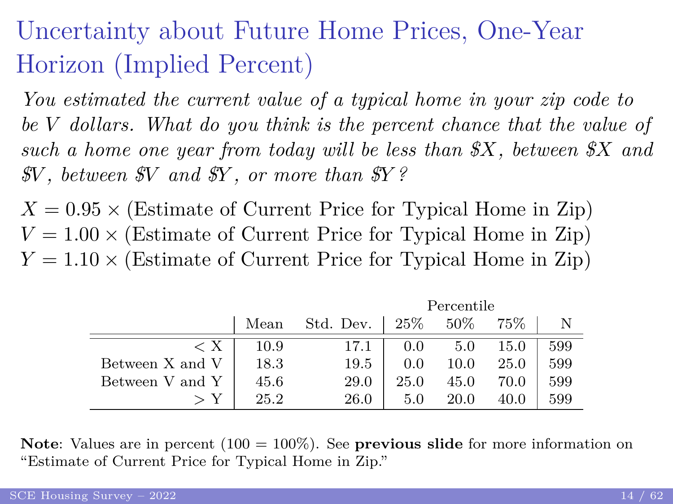# Uncertainty about Future Home Prices, One-Year Horizon (Implied Percent)

*You estimated the current value of a typical home in your zip code to be V dollars. What do you think is the percent chance that the value of such a home one year from today will be less than \$X, between \$X and \$V , between \$V and \$Y , or more than \$Y ?*

 $X = 0.95 \times$  (Estimate of Current Price for Typical Home in Zip)  $V = 1.00 \times$  (Estimate of Current Price for Typical Home in Zip)  $Y = 1.10 \times (Estimate of Current Price for Typical Home in Zip)$ 

|                 | Percentile |           |      |        |      |     |
|-----------------|------------|-----------|------|--------|------|-----|
|                 | Mean       | Std. Dev. | 25\% | $50\%$ | 75%  |     |
| < X             | 10.9       | 17.1      | 0.0  | 5.0    | 15.0 | 599 |
| Between X and V | 18.3       | 19.5      | 0.0  | 10.0   | 25.0 | 599 |
| Between V and Y | 45.6       | 29.0      | 25.0 | 45.0   | 70.0 | 599 |
|                 | 25.2       | 26.0      | 5.0  | 20.0   | 40.0 | 599 |

**Note**: Values are in percent (100 = 100%). See **[previous slide](#page-10-0)** for more information on "Estimate of Current Price for Typical Home in Zip."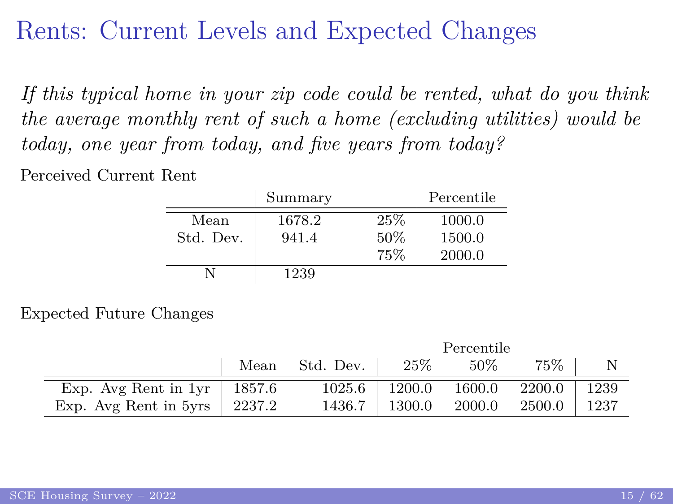#### Rents: Current Levels and Expected Changes

*If this typical home in your zip code could be rented, what do you think the average monthly rent of such a home (excluding utilities) would be today, one year from today, and five years from today?*

Perceived Current Rent

|           | Summary |     | Percentile |
|-----------|---------|-----|------------|
| Mean      | 1678.2  | 25% | 1000.0     |
| Std. Dev. | 941.4   | 50% | 1500.0     |
|           |         | 75% | 2000.0     |
|           | 1239    |     |            |

Expected Future Changes

|                                 | Percentile |           |        |        |        |      |
|---------------------------------|------------|-----------|--------|--------|--------|------|
|                                 | Mean       | Std. Dev. | 25%    | $50\%$ | 75%    |      |
| Exp. Avg Rent in $1yr$   1857.6 |            | 1025.6    | 1200.0 | 1600.0 | 2200.0 | 1239 |
| Exp. Avg Rent in 5yrs           | 2237.2     | 1436.7    | 1300.0 | 2000.0 | 2500.0 | 1237 |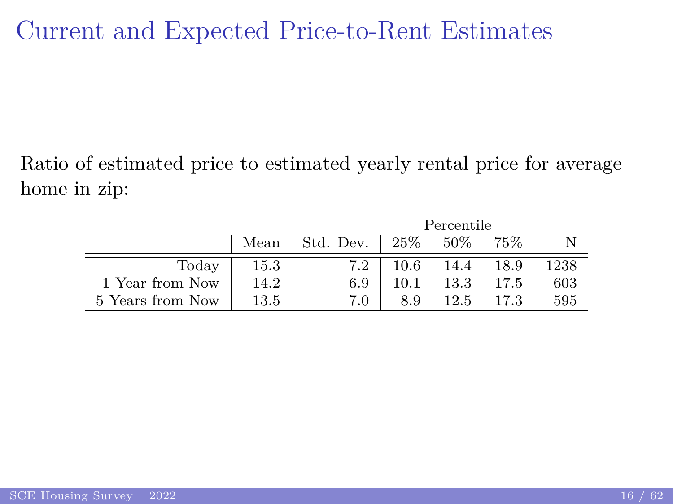#### Current and Expected Price-to-Rent Estimates

Ratio of estimated price to estimated yearly rental price for average home in zip:

|                  | Percentile |           |          |      |      |      |
|------------------|------------|-----------|----------|------|------|------|
|                  | Mean       | Std. Dev. | 25%      | 50%  | 75%  |      |
| Today            | 15.3       | 7.2       | 10.6     | 14.4 | 18.9 | 1238 |
| 1 Year from Now  | 14.2       | 6.9       | $10.1\,$ | 13.3 | 17.5 | 603  |
| 5 Years from Now | 13.5       | 7.0       | 8.9      | 12.5 |      | 595  |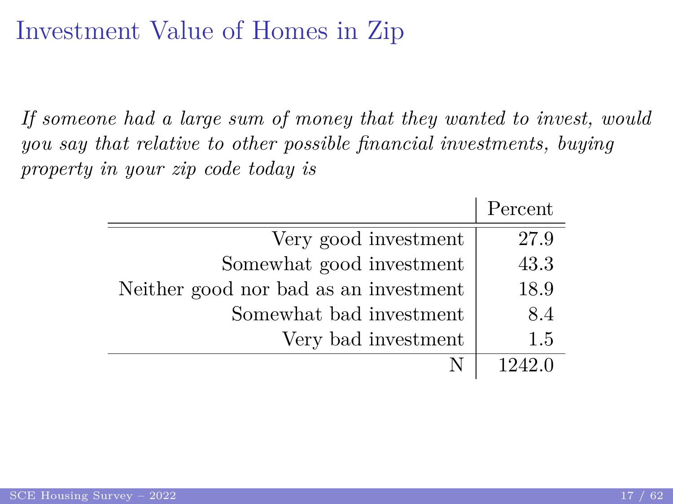#### Investment Value of Homes in Zip

*If someone had a large sum of money that they wanted to invest, would you say that relative to other possible financial investments, buying property in your zip code today is*

|                                       | Percent |
|---------------------------------------|---------|
| Very good investment                  | 27.9    |
| Somewhat good investment              | 43.3    |
| Neither good nor bad as an investment | 18.9    |
| Somewhat bad investment               | 8.4     |
| Very bad investment                   | 1.5     |
|                                       | 1949 በ  |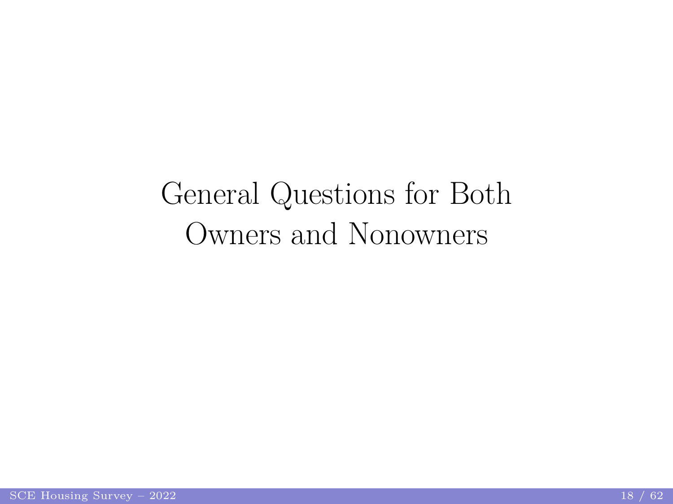# <span id="page-17-0"></span>General Questions for Both Owners and Nonowners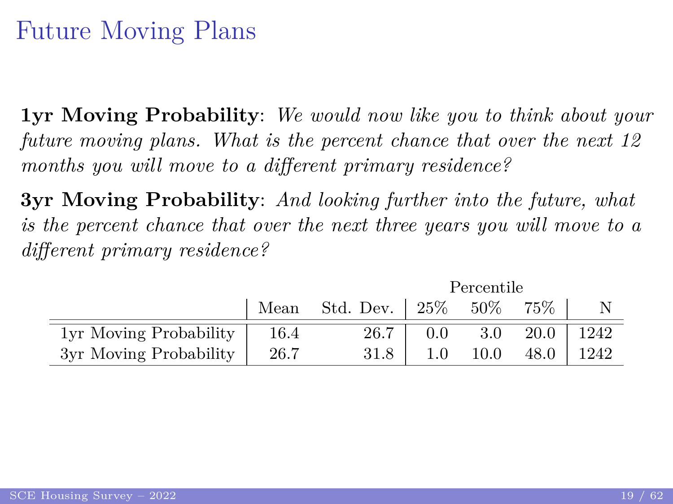# Future Moving Plans

**1yr Moving Probability**: *We would now like you to think about your future moving plans. What is the percent chance that over the next 12 months you will move to a different primary residence?*

**3yr Moving Probability**: *And looking further into the future, what is the percent chance that over the next three years you will move to a different primary residence?*

|                        | Mean | Std. Dev. $\vert 25\% \vert$ |     | 50%  | 75%  |       |
|------------------------|------|------------------------------|-----|------|------|-------|
| 1yr Moving Probability | 16.4 | 26.7                         | 0.0 | 3.0  | 20.0 | -1242 |
| 3yr Moving Probability | 26.7 | 31.8                         | 1.0 | 10.0 | 48.0 | 1242  |

 $D_{\alpha\alpha\alpha\gamma}$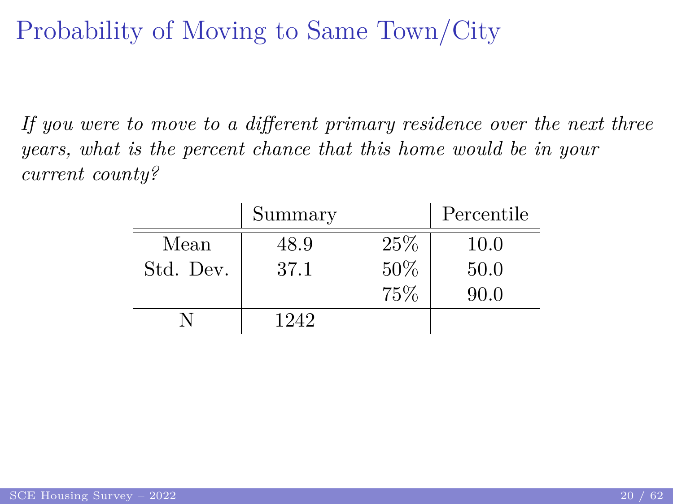# Probability of Moving to Same Town/City

*If you were to move to a different primary residence over the next three years, what is the percent chance that this home would be in your current county?*

|           | Summary |     | Percentile |
|-----------|---------|-----|------------|
| Mean      | 48.9    | 25% | 10.0       |
| Std. Dev. | 37.1    | 50% | 50.0       |
|           |         | 75% | 90.0       |
|           | 1242    |     |            |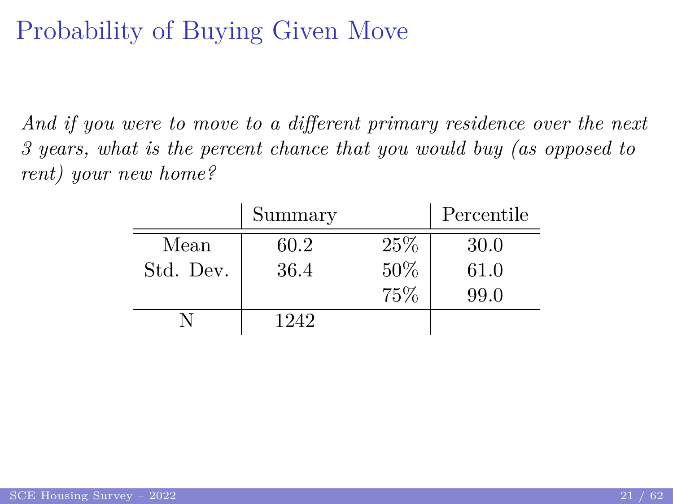# Probability of Buying Given Move

*And if you were to move to a different primary residence over the next 3 years, what is the percent chance that you would buy (as opposed to rent) your new home?*

|           | Summary |     | Percentile |
|-----------|---------|-----|------------|
| Mean      | 60.2    | 25% | 30.0       |
| Std. Dev. | 36.4    | 50% | 61.0       |
|           |         | 75% | 99.0       |
|           | 1242    |     |            |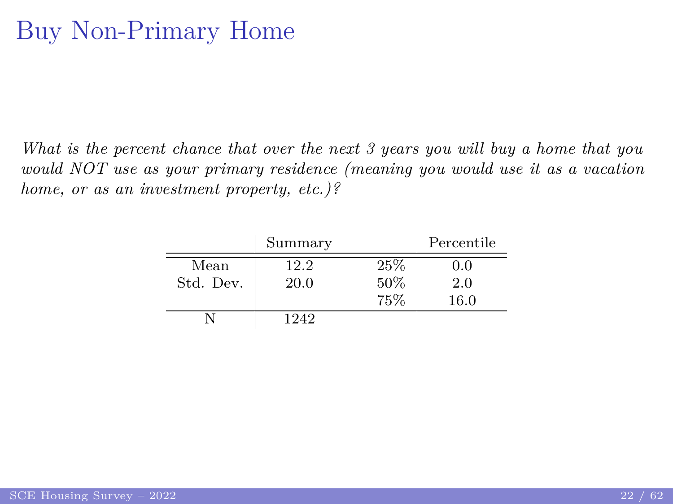### <span id="page-21-0"></span>Buy Non-Primary Home

*What is the percent chance that over the next 3 years you will buy a home that you would NOT use as your primary residence (meaning you would use it as a vacation home, or as an investment property, etc.)?*

|           | Summary |     | Percentile |
|-----------|---------|-----|------------|
| Mean      | 12.2    | 25% | 0.0        |
| Std. Dev. | 20.0    | 50% | 2.0        |
|           |         | 75% | $16.0\,$   |
|           | 1242    |     |            |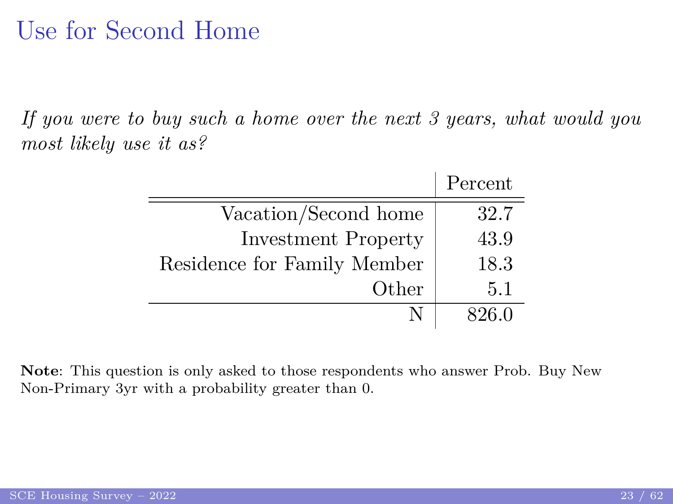#### Use for Second Home

*If you were to buy such a home over the next 3 years, what would you most likely use it as?*

|                             | Percent |
|-----------------------------|---------|
| Vacation/Second home        | 32.7    |
| <b>Investment Property</b>  | 43.9    |
| Residence for Family Member | 18.3    |
| Other                       | 5.1     |
|                             | 826 O   |

**Note**: This question is only asked to those respondents who answer [Prob. Buy New](#page-21-0) [Non-Primary 3yr](#page-21-0) with a probability greater than 0.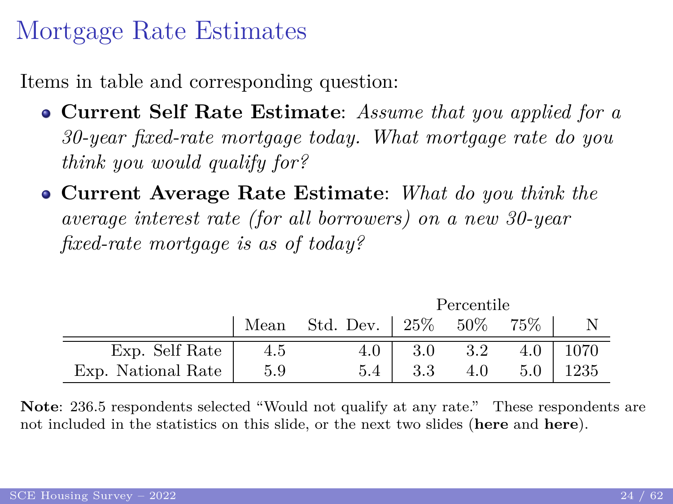#### <span id="page-23-0"></span>Mortgage Rate Estimates

Items in table and corresponding question:

- **Current Self Rate Estimate**: *Assume that you applied for a 30-year fixed-rate mortgage today. What mortgage rate do you think you would qualify for?*
- **Current Average Rate Estimate**: *What do you think the average interest rate (for all borrowers) on a new 30-year fixed-rate mortgage is as of today?*

|                    | Percentile |                              |         |        |     |      |
|--------------------|------------|------------------------------|---------|--------|-----|------|
|                    | Mean       | Std. Dev. $\vert 25\% \vert$ |         | $50\%$ | 75% |      |
| Exp. Self Rate     | 4.5        | 4.0                          | 3.0     | 3.2    | 4.0 | 1070 |
| Exp. National Rate | 5.9        | 5.4                          | $3.3\,$ | 4.0    | 5.0 | 1235 |

**Note**: 236.5 respondents selected "Would not qualify at any rate." These respondents are not included in the statistics on this slide, or the next two slides (**[here](#page-24-0)** and **[here](#page-25-0)**).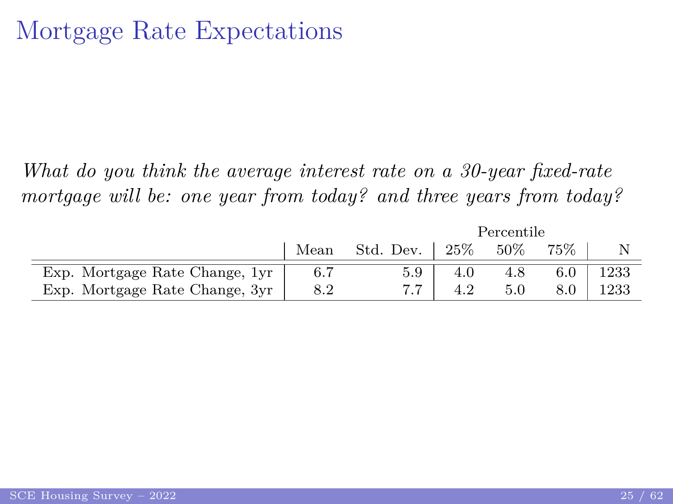<span id="page-24-0"></span>*What do you think the average interest rate on a 30-year fixed-rate mortgage will be: one year from today? and three years from today?*

|                                | Percentile |             |        |     |         |      |
|--------------------------------|------------|-------------|--------|-----|---------|------|
|                                | Mean       | Std. Dev. 1 | $25\%$ | 50% |         |      |
| Exp. Mortgage Rate Change, 1yr |            |             |        |     | 6.0     | 1233 |
| Exp. Mortgage Rate Change, 3yr | 8.2        |             |        |     | $8.0\,$ | 1233 |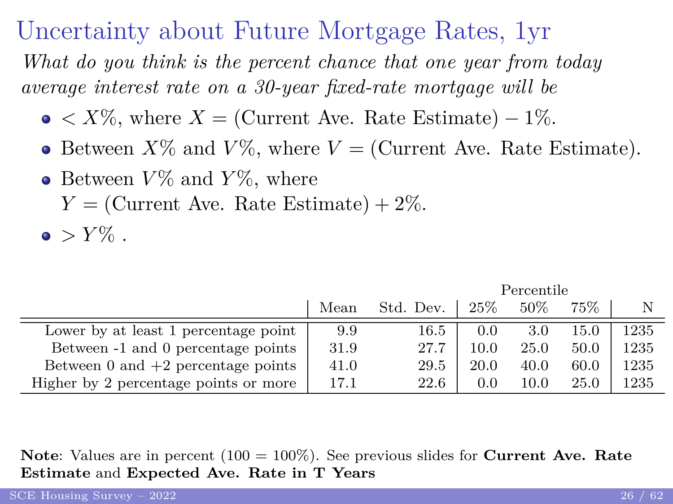#### Uncertainty about Future Mortgage Rates, 1yr

<span id="page-25-0"></span>*What do you think is the percent chance that one year from today average interest rate on a 30-year fixed-rate mortgage will be*

- $\bullet \leq X\%$ , where  $X =$  (Current Ave. Rate Estimate) 1%.
- Between  $X\%$  and  $V\%$ , where  $V =$  (Current Ave. Rate Estimate).
- Between  $V\%$  and  $Y\%$ , where
	- $Y =$  (Current Ave. Rate Estimate) + 2\%.
- $\bullet$  >  $Y\%$ .

Mean Std. Dev. | 25% 50% 75% | N Lower by at least 1 percentage point  $9.9 \t 16.5 \t 0.0 \t 3.0 \t 15.0 \t 1235$ Between -1 and 0 percentage points  $\begin{array}{|l|c|c|c|c|c|c|c|c|} \hline 31.9 & 27.7 & 10.0 & 25.0 & 50.0 & 1235 \hline \end{array}$ Between 0 and  $+2$  percentage points  $41.0$  29.5  $20.0$  40.0 60.0 1235 Higher by 2 percentage points or more  $\begin{array}{|l|c|c|c|c|c|c|c|c|} \hline 17.1 & 22.6 & 0.0 & 10.0 & 25.0 & 1235 \ \hline \end{array}$ 

Percentile

**Note**: Values are in percent (100 = 100%). See previous slides for **[Current Ave. Rate](#page-23-0) [Estimate](#page-23-0)** and **Expected Ave. Rate in T Years**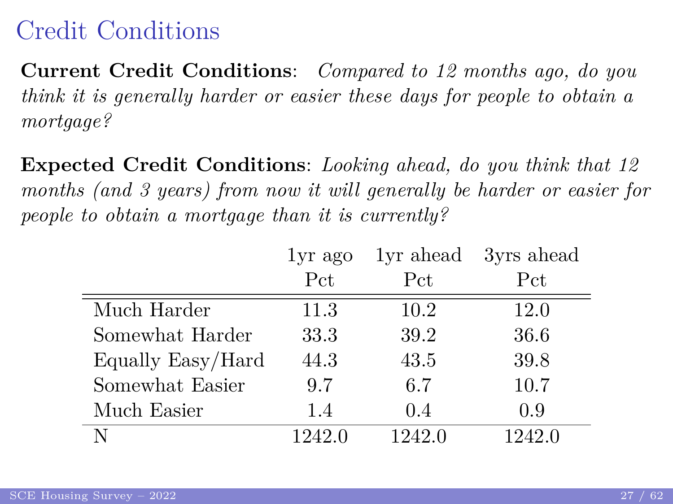## Credit Conditions

**Current Credit Conditions**: *Compared to 12 months ago, do you think it is generally harder or easier these days for people to obtain a mortgage?*

**Expected Credit Conditions**: *Looking ahead, do you think that 12 months (and 3 years) from now it will generally be harder or easier for people to obtain a mortgage than it is currently?*

|                   | $1yr$ ago | lyr ahead | 3yrs ahead |
|-------------------|-----------|-----------|------------|
|                   | Pct       | Pct       | Pct        |
| Much Harder       | 11.3      | 10.2      | 12.0       |
| Somewhat Harder   | 33.3      | 39.2      | 36.6       |
| Equally Easy/Hard | 44.3      | 43.5      | 39.8       |
| Somewhat Easier   | 9.7       | 6.7       | 10.7       |
| Much Easier       | 1.4       | 0.4       | 0.9        |
|                   | 1242.0    | 1242.0    | 1242.0     |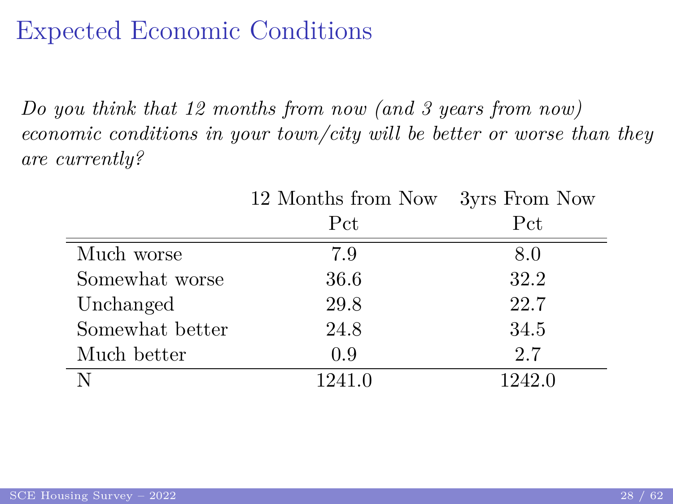## Expected Economic Conditions

*Do you think that 12 months from now (and 3 years from now) economic conditions in your town/city will be better or worse than they are currently?*

|                 | 12 Months from Now | 3yrs From Now |
|-----------------|--------------------|---------------|
|                 | Pct                | Pct           |
| Much worse      | 7.9                | 8.0           |
| Somewhat worse  | 36.6               | 32.2          |
| Unchanged       | 29.8               | 22.7          |
| Somewhat better | 24.8               | 34.5          |
| Much better     | 0.9                | 2.7           |
|                 | 1241.0             | 1242.0        |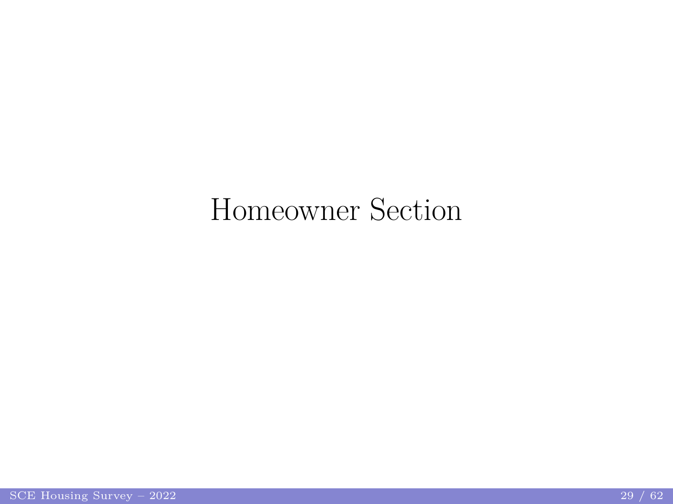# <span id="page-28-0"></span>Homeowner Section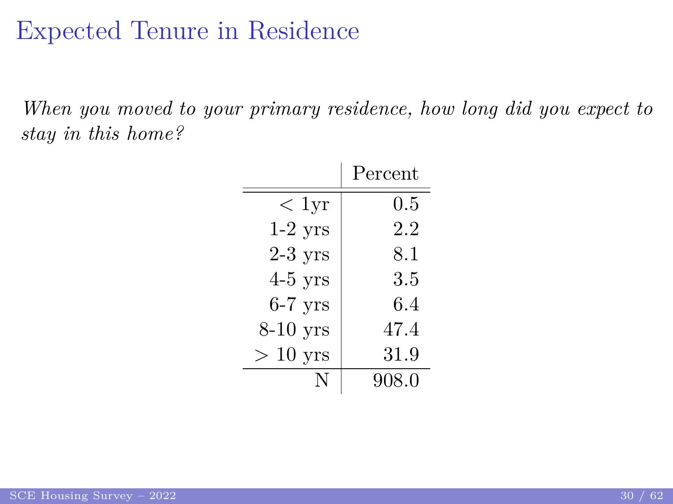#### <span id="page-29-0"></span>Expected Tenure in Residence

*When you moved to your primary residence, how long did you expect to stay in this home?*

|            | Percent |
|------------|---------|
| $< 1$ yr   | $0.5\,$ |
| $1-2$ yrs  | 2.2     |
| $2-3$ yrs  | 8.1     |
| $4-5$ yrs  | 3.5     |
| $6-7$ yrs  | 6.4     |
| $8-10$ yrs | 47.4    |
| $>10$ yrs  | 31.9    |
| N          | 908.0   |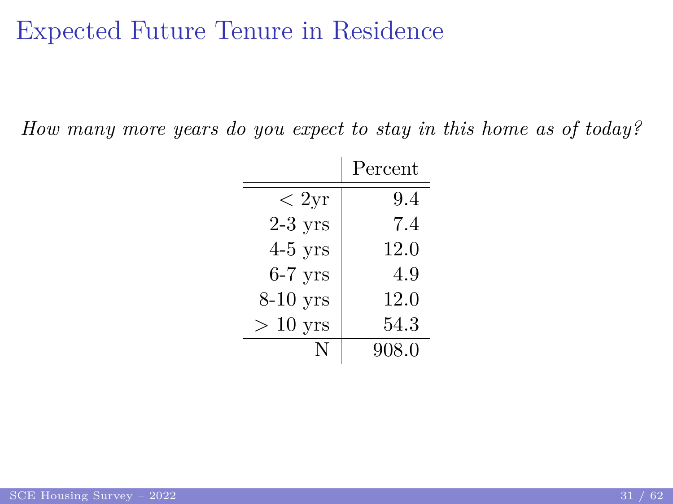#### Expected Future Tenure in Residence

*How many more years do you expect to stay in this home as of today?*

|            | Percent |
|------------|---------|
| < 2yr      | 9.4     |
| $2-3$ yrs  | 7.4     |
| $4-5$ yrs  | 12.0    |
| $6-7$ yrs  | 4.9     |
| $8-10$ yrs | 12.0    |
| $>10$ yrs  | 54.3    |
| N          | 908.0   |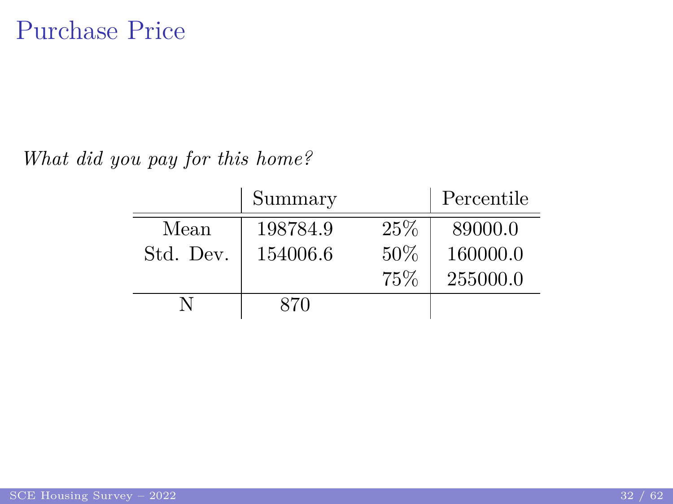<span id="page-31-0"></span>*What did you pay for this home?*

|           | Summary  |     | Percentile |
|-----------|----------|-----|------------|
| Mean      | 198784.9 | 25% | 89000.0    |
| Std. Dev. | 154006.6 | 50% | 160000.0   |
|           |          | 75% | 255000.0   |
|           | 870      |     |            |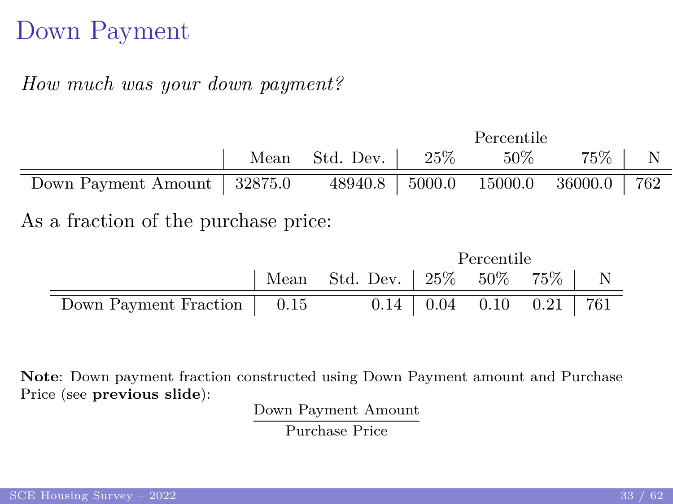### Down Payment

#### *How much was your down payment?*

|                                                                    |  |                                |  | Percentile |          |  |  |
|--------------------------------------------------------------------|--|--------------------------------|--|------------|----------|--|--|
|                                                                    |  | Mean Std. Dev. $\vert$ 25% 50% |  |            | 75\%   N |  |  |
| Down Payment Amount   32875.0 48940.8   5000.0 15000.0 36000.0 762 |  |                                |  |            |          |  |  |
| As a fraction of the purchase price:                               |  |                                |  |            |          |  |  |

|                              |                                  | Percentile |                           |  |
|------------------------------|----------------------------------|------------|---------------------------|--|
|                              | Mean Std. Dev.   25% 50% 75%   N |            |                           |  |
| Down Payment Fraction   0.15 |                                  |            | $0.14$ 0.04 0.10 0.21 761 |  |

**Note**: Down payment fraction constructed using Down Payment amount and Purchase Price (see **[previous slide](#page-31-0)**):

Down Payment Amount

Purchase Price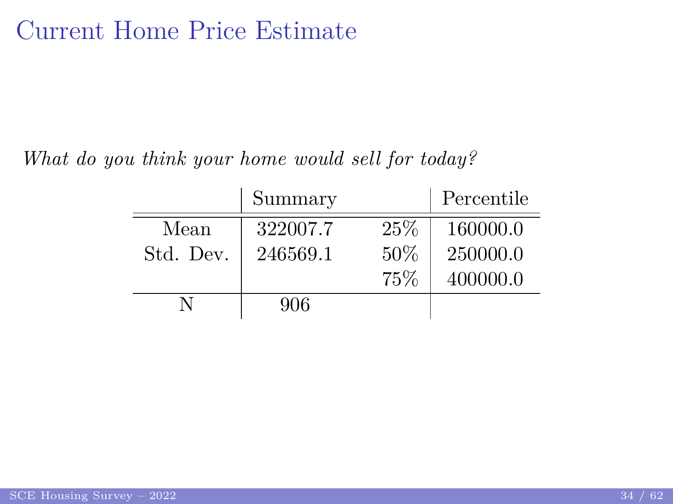#### <span id="page-33-0"></span>Current Home Price Estimate

*What do you think your home would sell for today?*

|           | Summary  |     | Percentile |
|-----------|----------|-----|------------|
| Mean      | 322007.7 | 25% | 160000.0   |
| Std. Dev. | 246569.1 | 50% | 250000.0   |
|           |          | 75% | 400000.0   |
|           | 906      |     |            |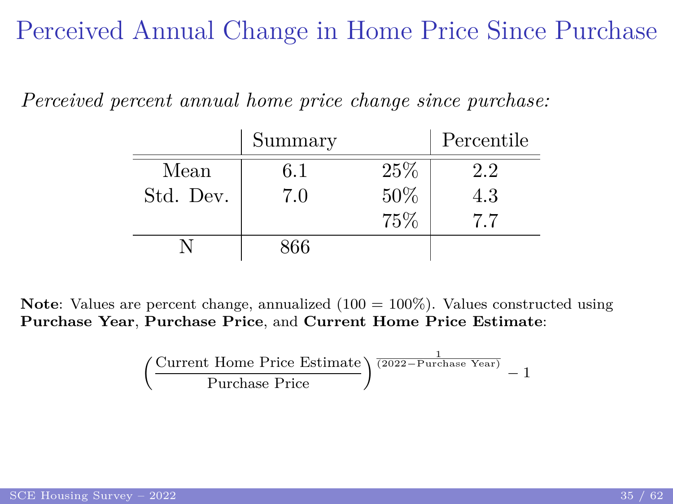Perceived Annual Change in Home Price Since Purchase

|           | Summary |     | Percentile |
|-----------|---------|-----|------------|
| Mean      | 6.1     | 25% | 2.2        |
| Std. Dev. | 7.0     | 50% | 4.3        |
|           |         | 75% | 77         |
|           | 866     |     |            |

*Perceived percent annual home price change since purchase:*

**Note**: Values are percent change, annualized (100 = 100%). Values constructed using **[Purchase Year](#page-0-1)**, **[Purchase Price](#page-31-0)**, and **[Current Home Price Estimate](#page-33-0)**:

$$
\left(\frac{\text{Current Home Price Estimate}}{\text{Purchase Price}}\right)^{\frac{1}{(2022 - \text{Purchase Year})}} - 1
$$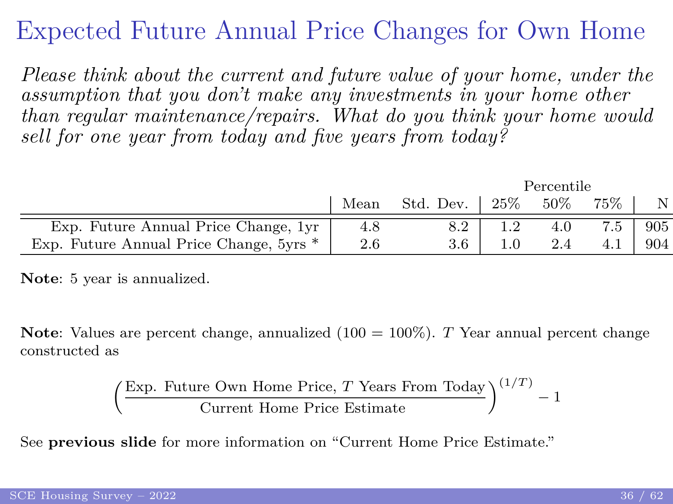## Expected Future Annual Price Changes for Own Home

*Please think about the current and future value of your home, under the assumption that you don't make any investments in your home other than regular maintenance/repairs. What do you think your home would sell for one year from today and five years from today?*

|                                         |     |                |      | Percentile |        |      |
|-----------------------------------------|-----|----------------|------|------------|--------|------|
|                                         |     | Mean Std. Dev. | 25\% | $50\%$     | $75\%$ |      |
| Exp. Future Annual Price Change, 1yr    | 4.8 | 8.2            |      | 4.0        | 7.5    | 905  |
| Exp. Future Annual Price Change, 5yrs * | 2.6 | 3.6            |      | 2.4        | 4.1    | -904 |

**Note**: 5 year is annualized.

**Note**: Values are percent change, annualized (100 = 100%). *T* Year annual percent change constructed as

$$
\left(\frac{\text{Exp. Future Own Home Price}, T \text{ Years From Today}}{\text{Current Home Price Estimate}}\right)^{(1/T)} - 1
$$

See **[previous slide](#page-33-0)** for more information on "Current Home Price Estimate."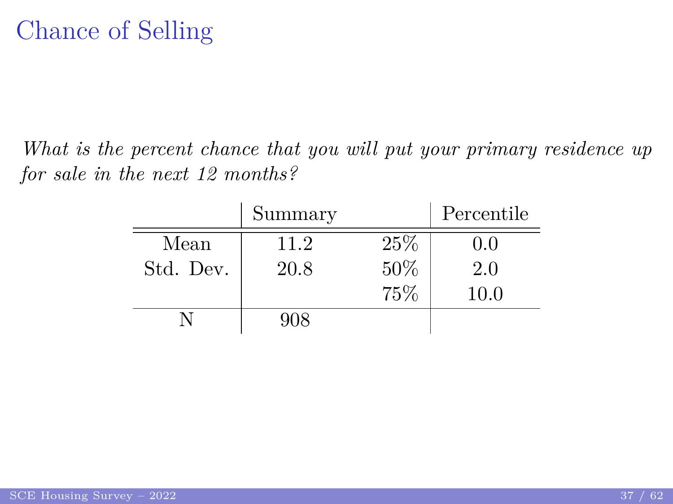*What is the percent chance that you will put your primary residence up for sale in the next 12 months?*

|           | Summary |     | Percentile |
|-----------|---------|-----|------------|
| Mean      | 11.2    | 25% | 0.0        |
| Std. Dev. | 20.8    | 50% | 2.0        |
|           |         | 75% | 10.0       |
|           | 908     |     |            |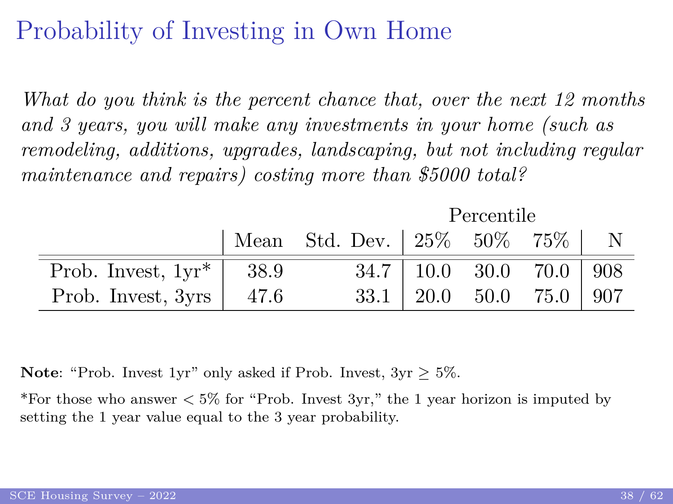# Probability of Investing in Own Home

*What do you think is the percent chance that, over the next 12 months and 3 years, you will make any investments in your home (such as remodeling, additions, upgrades, landscaping, but not including regular maintenance and repairs) costing more than \$5000 total?*

Percentile

|                              | Mean Std. Dev.   25% 50% 75%   N |                                                         |  |  |
|------------------------------|----------------------------------|---------------------------------------------------------|--|--|
| Prob. Invest, $1yr^*$   38.9 |                                  | $34.7$   10.0 30.0 70.0   908                           |  |  |
| Prob. Invest, $3yrs$   47.6  |                                  | $33.1 \begin{array}{ l} 20.0 \end{array}$ 50.0 75.0 907 |  |  |

**Note**: "Prob. Invest 1yr" only asked if Prob. Invest, 3yr ≥ 5%.

\*For those who answer *<* 5% for "Prob. Invest 3yr," the 1 year horizon is imputed by setting the 1 year value equal to the 3 year probability.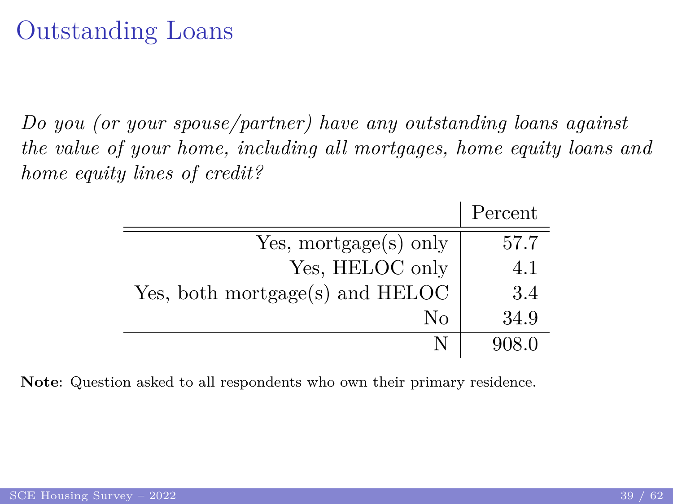#### Outstanding Loans

*Do you (or your spouse/partner) have any outstanding loans against the value of your home, including all mortgages, home equity loans and home equity lines of credit?*

|                                 | Percent |
|---------------------------------|---------|
| Yes, mortgage(s) only           | 57.7    |
| Yes, HELOC only                 | 4.1     |
| Yes, both mortgage(s) and HELOC | 3.4     |
| Nο                              | 34.9    |
|                                 | 908 O   |

**Note**: Question asked to all respondents who own their primary residence.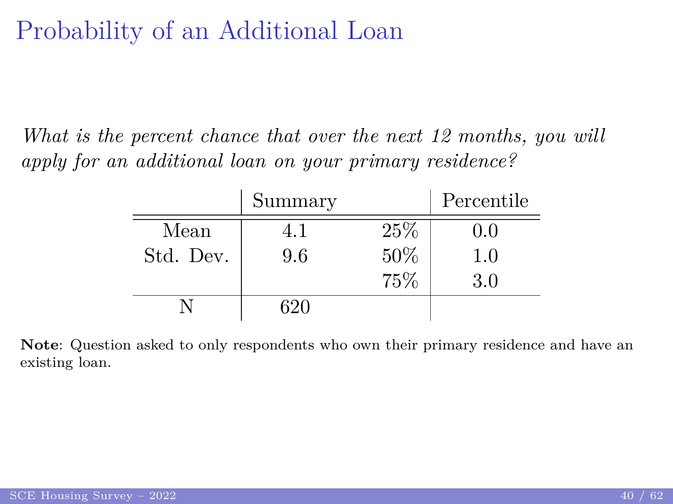# Probability of an Additional Loan

*What is the percent chance that over the next 12 months, you will apply for an additional loan on your primary residence?*

|           | Summary |     | Percentile |
|-----------|---------|-----|------------|
| Mean      | 41      | 25% | 0.0        |
| Std. Dev. | 9.6     | 50% | 1.0        |
|           |         | 75% | 3.0        |
|           | 620     |     |            |

**Note**: Question asked to only respondents who own their primary residence and have an existing loan.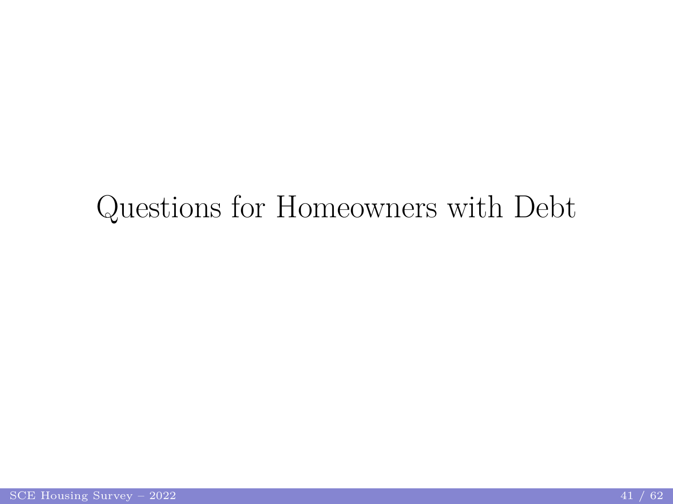# <span id="page-40-0"></span>Questions for Homeowners with Debt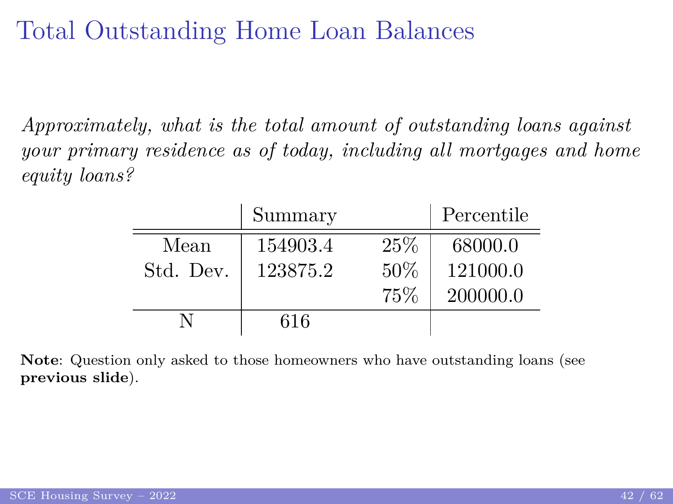#### <span id="page-41-0"></span>Total Outstanding Home Loan Balances

*Approximately, what is the total amount of outstanding loans against your primary residence as of today, including all mortgages and home equity loans?*

|           | Summary  |     | Percentile |
|-----------|----------|-----|------------|
| Mean      | 154903.4 | 25% | 68000.0    |
| Std. Dev. | 123875.2 | 50% | 121000.0   |
|           |          | 75% | 200000.0   |
|           | 616      |     |            |

**Note**: Question only asked to those homeowners who have outstanding loans (see **[previous slide](#page-41-0)**).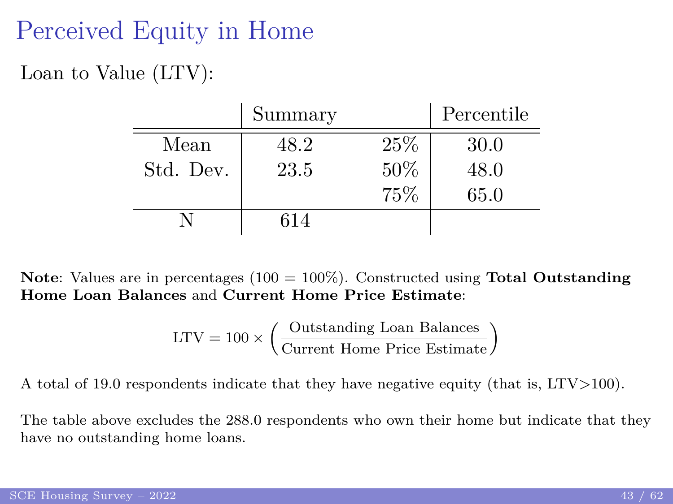# Perceived Equity in Home

Loan to Value (LTV):

|           | Summary |     | Percentile |
|-----------|---------|-----|------------|
| Mean      | 48.2    | 25% | 30.0       |
| Std. Dev. | 23.5    | 50% | 48.0       |
|           |         | 75% | 65.0       |
|           | 614     |     |            |

**Note**: Values are in percentages (100 = 100%). Constructed using **[Total Outstanding](#page-41-0) [Home Loan Balances](#page-41-0)** and **[Current Home Price Estimate](#page-33-0)**:

$$
LTV = 100 \times \left(\frac{\text{Outstanding Loan Balances}}{\text{Current Home Price Estimate}}\right)
$$

A total of 19.0 respondents indicate that they have negative equity (that is, LTV*>*100).

The table above excludes the 288.0 respondents who own their home but indicate that they have no outstanding home loans.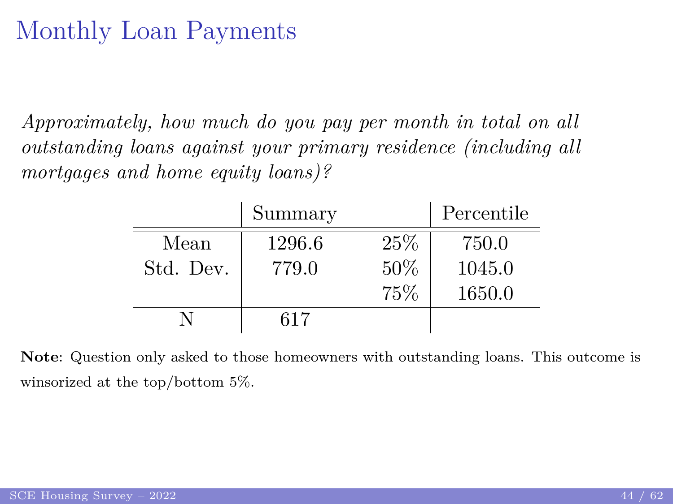# <span id="page-43-0"></span>Monthly Loan Payments

*Approximately, how much do you pay per month in total on all outstanding loans against your primary residence (including all mortgages and home equity loans)?*

|           | Summary |     | Percentile |
|-----------|---------|-----|------------|
| Mean      | 1296.6  | 25% | 750.0      |
| Std. Dev. | 779.0   | 50% | 1045.0     |
|           |         | 75% | 1650.0     |
|           | 617     |     |            |

**Note**: Question only asked to those homeowners with outstanding loans. This outcome is winsorized at the top/bottom 5%.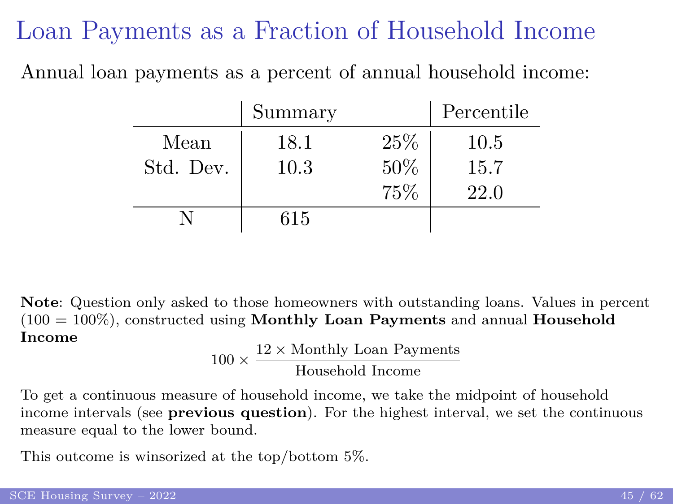#### Loan Payments as a Fraction of Household Income

Annual loan payments as a percent of annual household income:

|           | Summary |     | Percentile |
|-----------|---------|-----|------------|
| Mean      | 18.1    | 25% | 10.5       |
| Std. Dev. | 10.3    | 50% | 15.7       |
|           |         | 75% | 22.0       |
|           | 615     |     |            |

**Note**: Question only asked to those homeowners with outstanding loans. Values in percent (100 = 100%), constructed using **[Monthly Loan Payments](#page-43-0)** and annual **[Household](#page-7-0) [Income](#page-7-0)**

$$
100 \times \frac{12 \times \text{Monthly Loan Payments}}{\text{Household Income}}
$$

To get a continuous measure of household income, we take the midpoint of household income intervals (see **[previous question](#page-7-0)**). For the highest interval, we set the continuous measure equal to the lower bound.

This outcome is winsorized at the top/bottom 5%.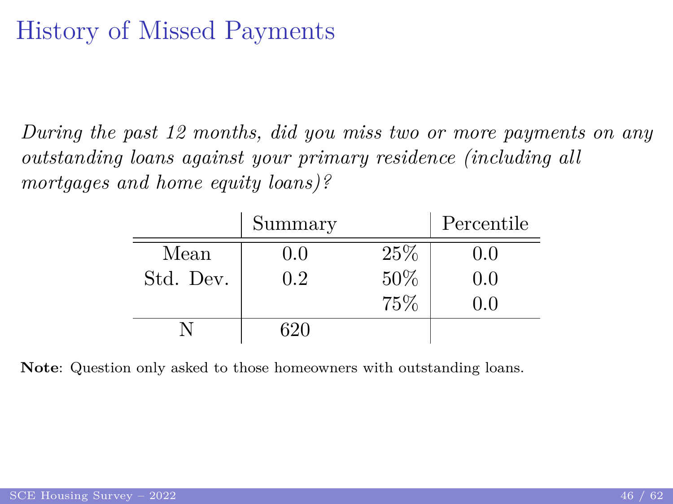### History of Missed Payments

*During the past 12 months, did you miss two or more payments on any outstanding loans against your primary residence (including all mortgages and home equity loans)?*

|           | Summary |      | Percentile |
|-----------|---------|------|------------|
| Mean      | 0.0     | 25\% | 0.0        |
| Std. Dev. | 0.2     | 50%  | 0.0        |
|           |         | 75%  | 0.0        |
|           | ናንበ     |      |            |

**Note**: Question only asked to those homeowners with outstanding loans.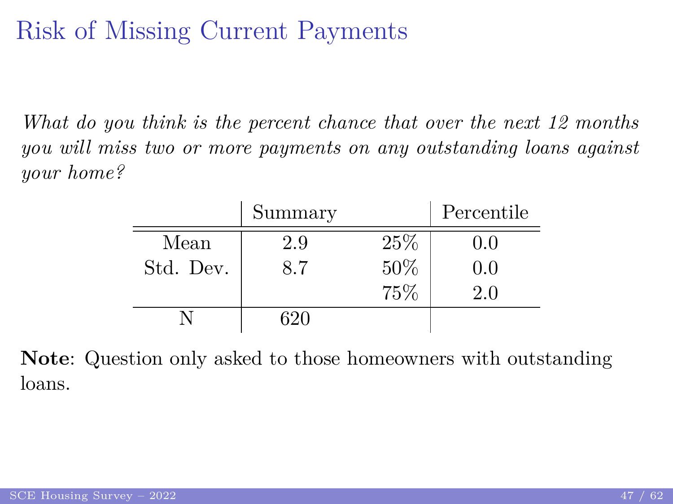# Risk of Missing Current Payments

*What do you think is the percent chance that over the next 12 months you will miss two or more payments on any outstanding loans against your home?*

|           | Summary |      | Percentile |
|-----------|---------|------|------------|
| Mean      | 2.9     | 25\% | 0.0        |
| Std. Dev. | 8.7     | 50%  | 0.0        |
|           |         | 75%  | 2.0        |
|           | 32O     |      |            |

**Note**: Question only asked to those homeowners with outstanding loans.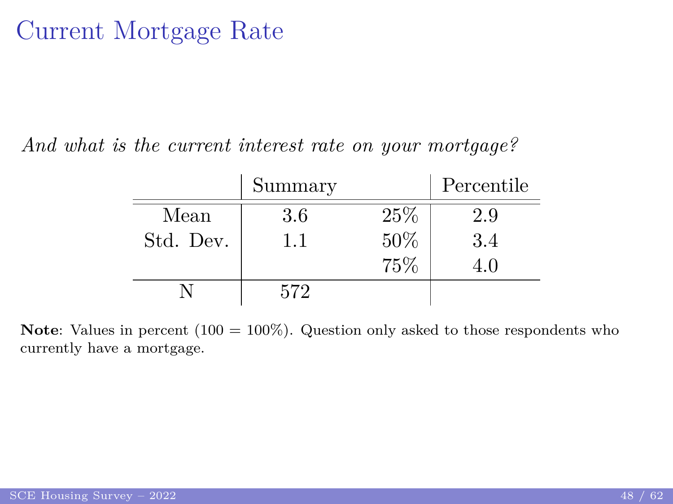#### Current Mortgage Rate

*And what is the current interest rate on your mortgage?*

|           | Summary |      | Percentile |
|-----------|---------|------|------------|
| Mean      | 3.6     | 25\% | 2.9        |
| Std. Dev. | 1.1     | 50%  | 3.4        |
|           |         | 75%  | 4.0        |
|           | 572     |      |            |

**Note:** Values in percent  $(100 = 100\%)$ . Question only asked to those respondents who currently have a mortgage.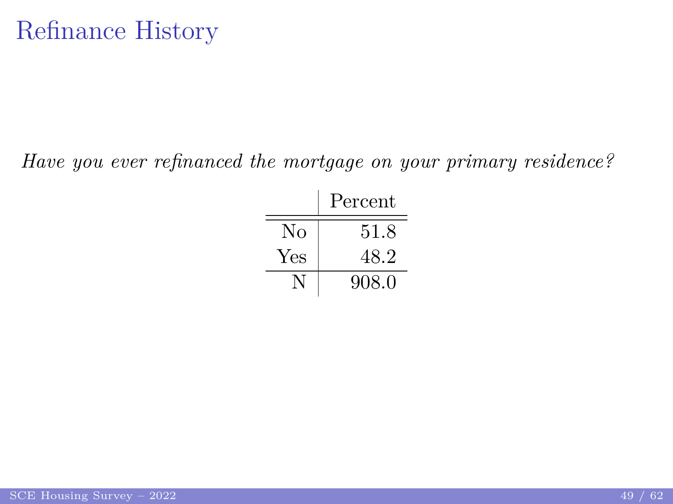*Have you ever refinanced the mortgage on your primary residence?*

|     | Percent |
|-----|---------|
| No  | 51.8    |
| Yes | 48.2    |
|     | 908.0   |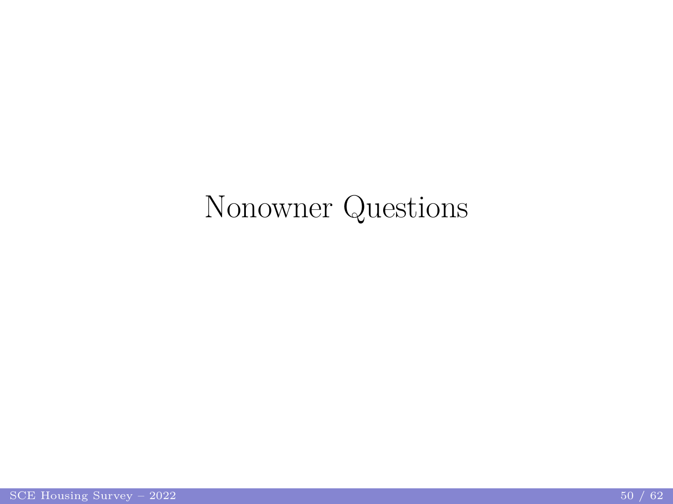# <span id="page-49-0"></span>Nonowner Questions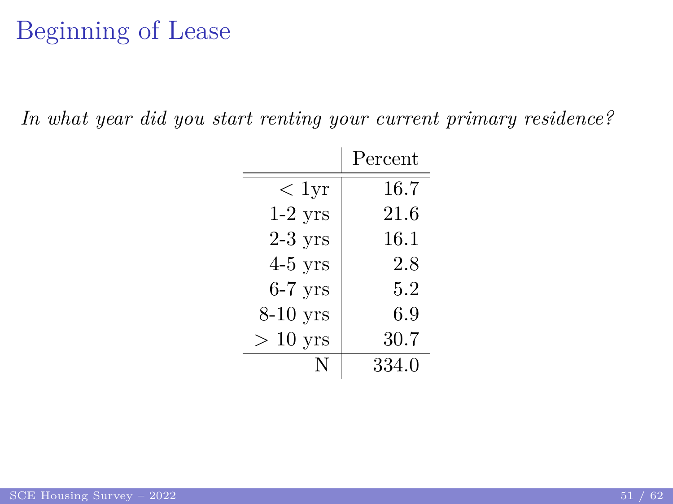# Beginning of Lease

*In what year did you start renting your current primary residence?*

|            | Percent |
|------------|---------|
| $< 1$ yr   | 16.7    |
| $1-2$ yrs  | 21.6    |
| $2-3$ yrs  | 16.1    |
| $4-5$ yrs  | 2.8     |
| $6-7$ yrs  | 5.2     |
| $8-10$ yrs | 6.9     |
| $> 10$ yrs | 30.7    |
|            | 334.0   |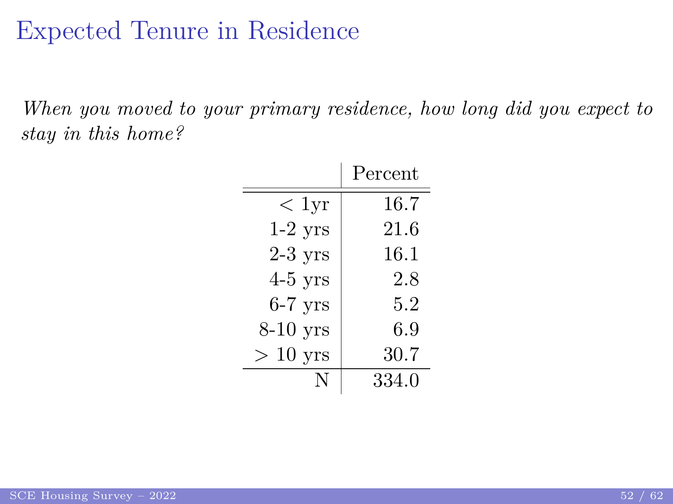#### Expected Tenure in Residence

*When you moved to your primary residence, how long did you expect to stay in this home?*

|            | Percent |
|------------|---------|
| $< 1$ yr   | 16.7    |
| $1-2$ yrs  | 21.6    |
| $2-3$ yrs  | 16.1    |
| $4-5$ yrs  | 2.8     |
| $6-7$ yrs  | 5.2     |
| $8-10$ yrs | 6.9     |
| $>10$ yrs  | 30.7    |
| N          | 334.0   |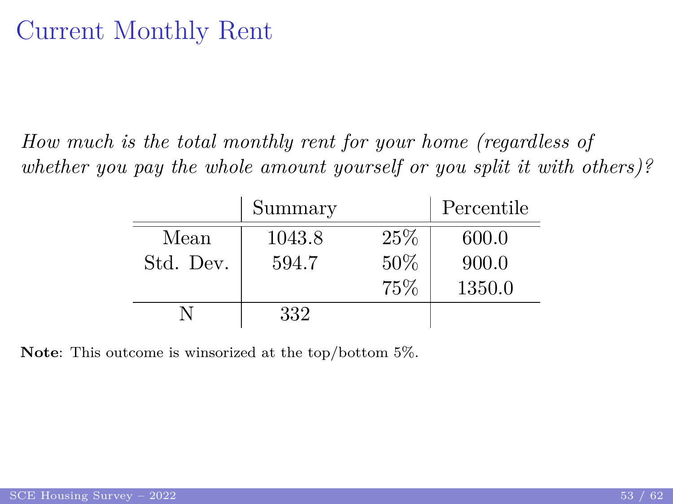#### <span id="page-52-0"></span>Current Monthly Rent

*How much is the total monthly rent for your home (regardless of whether you pay the whole amount yourself or you split it with others)?*

|           | Summary |      | Percentile |
|-----------|---------|------|------------|
| Mean      | 1043.8  | 25\% | 600.0      |
| Std. Dev. | 594.7   | 50%  | 900.0      |
|           |         | 75%  | 1350.0     |
|           | 332     |      |            |

**Note**: This outcome is winsorized at the top/bottom 5%.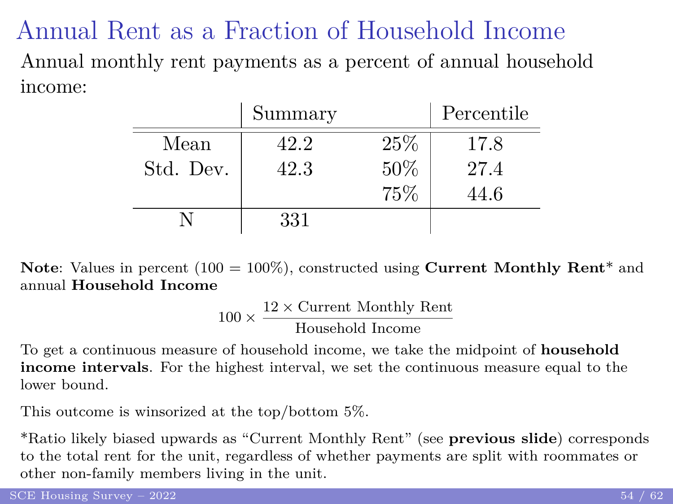Annual Rent as a Fraction of Household Income Annual monthly rent payments as a percent of annual household income:

|           | Summary |      | Percentile |
|-----------|---------|------|------------|
| Mean      | 42.2    | 25\% | 17.8       |
| Std. Dev. | 42.3    | 50%  | 27.4       |
|           |         | 75%  | 44.6       |
|           | 331     |      |            |

**Note:** Values in percent (100 = 100%), constructed using **[Current Monthly Rent](#page-52-0)**<sup>\*</sup> and annual **[Household Income](#page-7-0)**

$$
100 \times \frac{12 \times \text{Current Monthly Rent}}{\text{Household Income}}
$$

To get a continuous measure of household income, we take the midpoint of **[household](#page-7-0) [income intervals](#page-7-0)**. For the highest interval, we set the continuous measure equal to the lower bound.

This outcome is winsorized at the top/bottom 5%.

\*Ratio likely biased upwards as "Current Monthly Rent" (see **[previous slide](#page-52-0)**) corresponds to the total rent for the unit, regardless of whether payments are split with roommates or other non-family members living in the unit.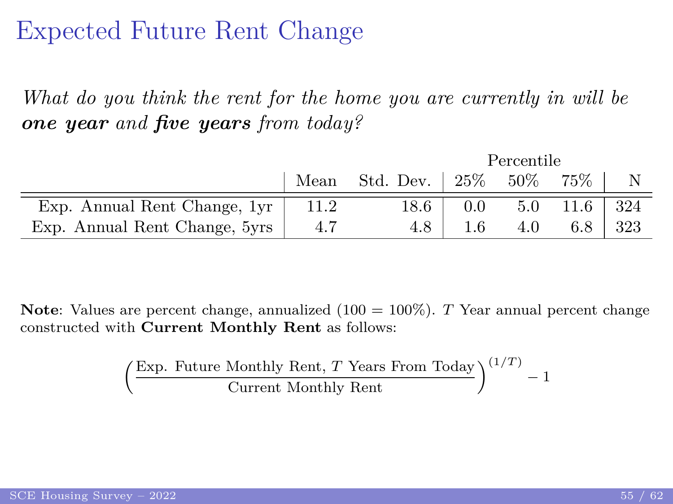#### Expected Future Rent Change

*What do you think the rent for the home you are currently in will be one year and five years from today?*

|                               |      |                              | Percentile |     |        |     |
|-------------------------------|------|------------------------------|------------|-----|--------|-----|
|                               | Mean | Std. Dev. $\vert 25\% \vert$ |            | 50% | $75\%$ |     |
| Exp. Annual Rent Change, 1yr  | 11.2 | 18.6                         | 0.0        | 5.0 | 11.6   | 324 |
| Exp. Annual Rent Change, 5yrs | -4.7 | 4.8                          | 1.6        | 4.0 |        | 323 |

**Note**: Values are percent change, annualized (100 = 100%). *T* Year annual percent change constructed with **[Current Monthly Rent](#page-52-0)** as follows:

$$
\left(\frac{\text{Exp. Future Monthly Rent, } T \text{ Years From Today}}{\text{Current Monthly Rent}}\right)^{(1/T)} - 1
$$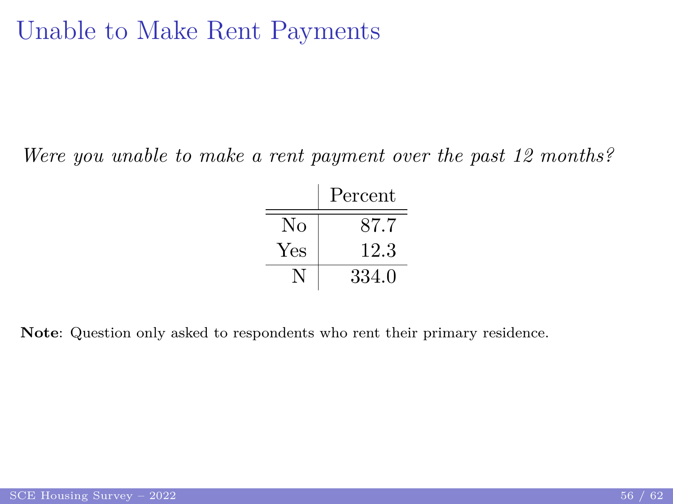#### <span id="page-55-0"></span>Unable to Make Rent Payments

*Were you unable to make a rent payment over the past 12 months?*

|     | Percent |
|-----|---------|
| No  | 87.7    |
| Yes | 12.3    |
|     | 334.0   |

**Note**: Question only asked to respondents who rent their primary residence.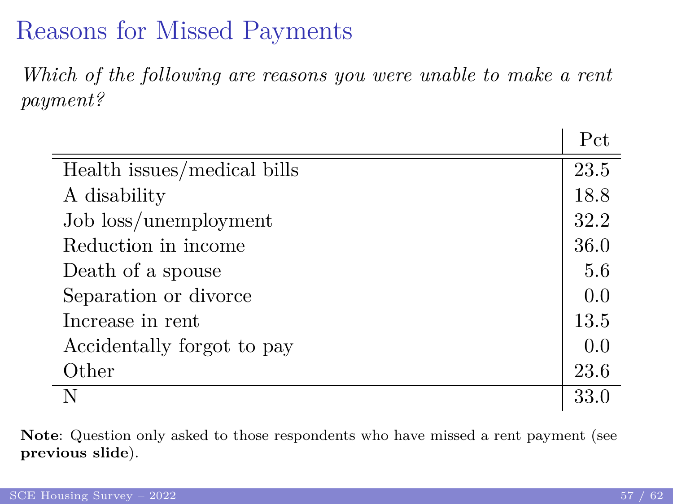### Reasons for Missed Payments

*Which of the following are reasons you were unable to make a rent payment?*

|                             | Pct  |
|-----------------------------|------|
| Health issues/medical bills | 23.5 |
| A disability                | 18.8 |
| Job loss/unemployment       | 32.2 |
| Reduction in income         | 36.0 |
| Death of a spouse           | 5.6  |
| Separation or divorce       | 0.0  |
| Increase in rent            | 13.5 |
| Accidentally forgot to pay  | 0.0  |
| Other                       | 23.6 |
| N                           | 33.0 |

**Note**: Question only asked to those respondents who have missed a rent payment (see **[previous slide](#page-55-0)**).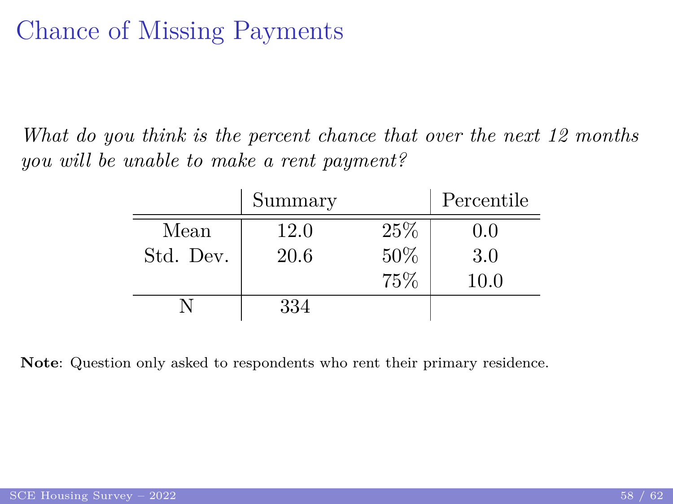#### Chance of Missing Payments

*What do you think is the percent chance that over the next 12 months you will be unable to make a rent payment?*

|           | Summary |      | Percentile |
|-----------|---------|------|------------|
| Mean      | 12.0    | 25\% | 0.0        |
| Std. Dev. | 20.6    | 50%  | 3.0        |
|           |         | 75%  | 10.0       |
|           | 334     |      |            |

**Note**: Question only asked to respondents who rent their primary residence.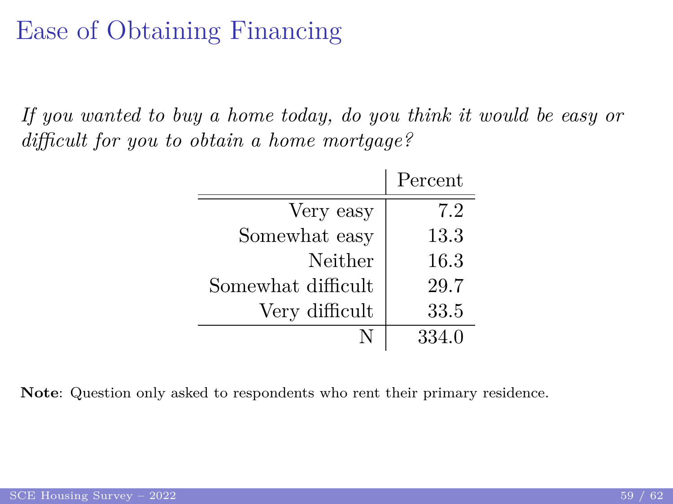## Ease of Obtaining Financing

*If you wanted to buy a home today, do you think it would be easy or difficult for you to obtain a home mortgage?*

|                    | Percent |
|--------------------|---------|
| Very easy          | 7.2     |
| Somewhat easy      | 13.3    |
| Neither            | 16.3    |
| Somewhat difficult | 29.7    |
| Very difficult     | 33.5    |
|                    | 334.0   |

**Note**: Question only asked to respondents who rent their primary residence.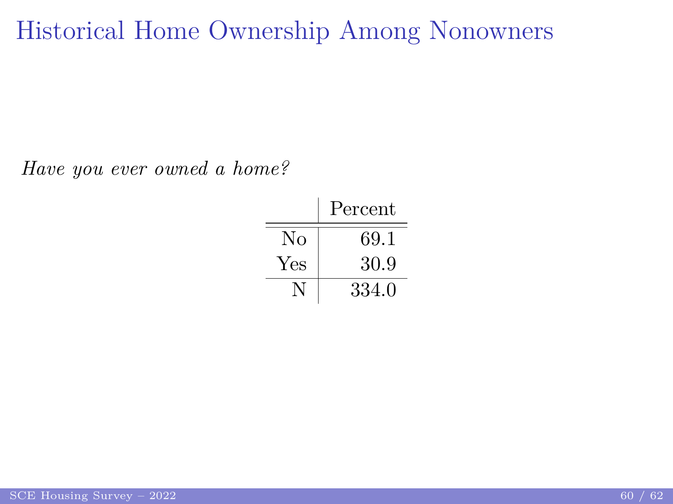Historical Home Ownership Among Nonowners

*Have you ever owned a home?*

|     | Percent |
|-----|---------|
| No  | 69.1    |
| Yes | 30.9    |
|     | 334.0   |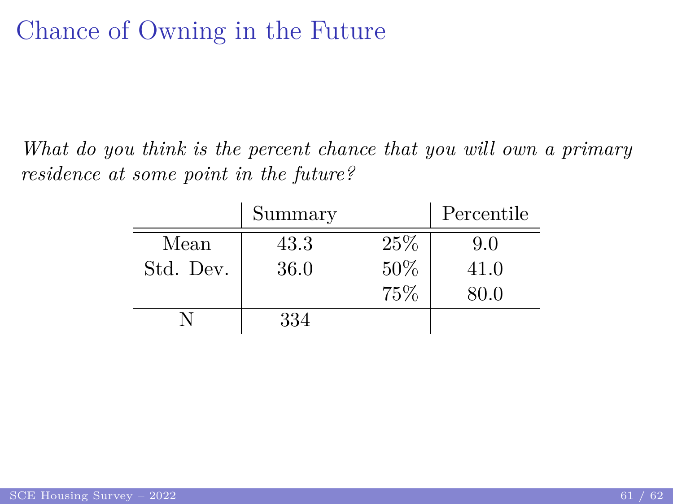# Chance of Owning in the Future

*What do you think is the percent chance that you will own a primary residence at some point in the future?*

|           | Summary |     | Percentile |
|-----------|---------|-----|------------|
| Mean      | 43.3    | 25% | 9.0        |
| Std. Dev. | 36.0    | 50% | 41.0       |
|           |         | 75% | 80.0       |
|           | 334     |     |            |